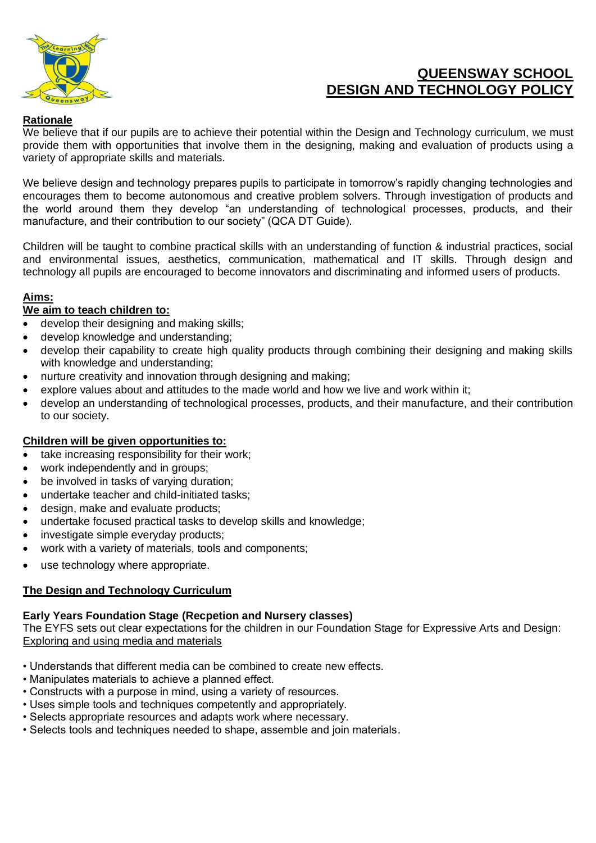

# **QUEENSWAY SCHOOL DESIGN AND TECHNOLOGY POLICY**

#### **Rationale**

We believe that if our pupils are to achieve their potential within the Design and Technology curriculum, we must provide them with opportunities that involve them in the designing, making and evaluation of products using a variety of appropriate skills and materials.

We believe design and technology prepares pupils to participate in tomorrow's rapidly changing technologies and encourages them to become autonomous and creative problem solvers. Through investigation of products and the world around them they develop "an understanding of technological processes, products, and their manufacture, and their contribution to our society" (QCA DT Guide).

Children will be taught to combine practical skills with an understanding of function & industrial practices, social and environmental issues, aesthetics, communication, mathematical and IT skills. Through design and technology all pupils are encouraged to become innovators and discriminating and informed users of products.

### **Aims:**

### **We aim to teach children to:**

- develop their designing and making skills;
- develop knowledge and understanding;
- develop their capability to create high quality products through combining their designing and making skills with knowledge and understanding;
- nurture creativity and innovation through designing and making:
- explore values about and attitudes to the made world and how we live and work within it;
- develop an understanding of technological processes, products, and their manufacture, and their contribution to our society.

#### **Children will be given opportunities to:**

- take increasing responsibility for their work;
- work independently and in groups;
- be involved in tasks of varying duration;
- undertake teacher and child-initiated tasks;
- design, make and evaluate products;
- undertake focused practical tasks to develop skills and knowledge;
- investigate simple everyday products;
- work with a variety of materials, tools and components;
- use technology where appropriate.

#### **The Design and Technology Curriculum**

#### **Early Years Foundation Stage (Recpetion and Nursery classes)**

The EYFS sets out clear expectations for the children in our Foundation Stage for Expressive Arts and Design: Exploring and using media and materials

- Understands that different media can be combined to create new effects.
- Manipulates materials to achieve a planned effect.
- Constructs with a purpose in mind, using a variety of resources.
- Uses simple tools and techniques competently and appropriately.
- Selects appropriate resources and adapts work where necessary.
- Selects tools and techniques needed to shape, assemble and join materials.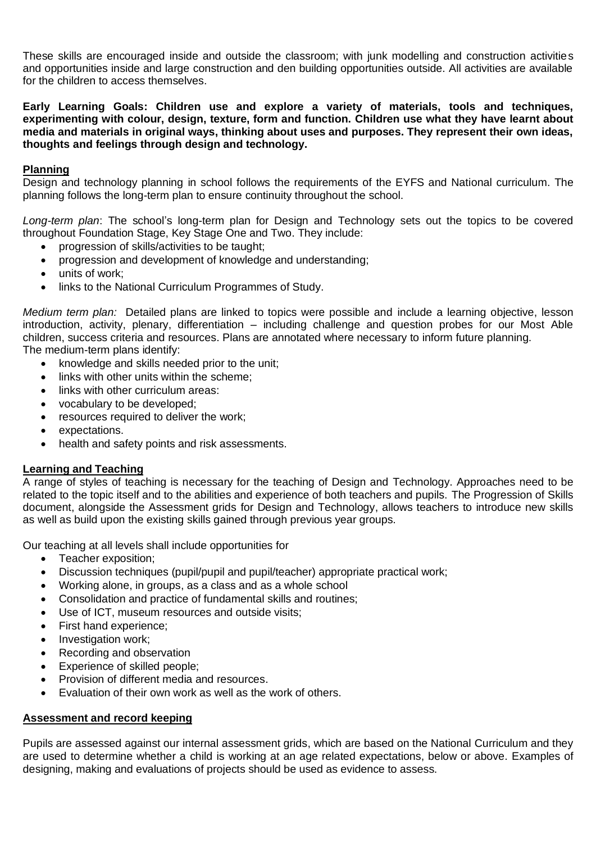These skills are encouraged inside and outside the classroom; with junk modelling and construction activities and opportunities inside and large construction and den building opportunities outside. All activities are available for the children to access themselves.

**Early Learning Goals: Children use and explore a variety of materials, tools and techniques, experimenting with colour, design, texture, form and function. Children use what they have learnt about media and materials in original ways, thinking about uses and purposes. They represent their own ideas, thoughts and feelings through design and technology.** 

#### **Planning**

Design and technology planning in school follows the requirements of the EYFS and National curriculum. The planning follows the long-term plan to ensure continuity throughout the school.

*Long-term plan*: The school's long-term plan for Design and Technology sets out the topics to be covered throughout Foundation Stage, Key Stage One and Two. They include:

- progression of skills/activities to be taught;
- progression and development of knowledge and understanding:
- units of work;
- links to the National Curriculum Programmes of Study.

*Medium term plan:* Detailed plans are linked to topics were possible and include a learning objective, lesson introduction, activity, plenary, differentiation – including challenge and question probes for our Most Able children, success criteria and resources. Plans are annotated where necessary to inform future planning. The medium-term plans identify:

- knowledge and skills needed prior to the unit;
- links with other units within the scheme;
- links with other curriculum areas:
- vocabulary to be developed;
- resources required to deliver the work;
- expectations.
- health and safety points and risk assessments.

#### **Learning and Teaching**

A range of styles of teaching is necessary for the teaching of Design and Technology. Approaches need to be related to the topic itself and to the abilities and experience of both teachers and pupils. The Progression of Skills document, alongside the Assessment grids for Design and Technology, allows teachers to introduce new skills as well as build upon the existing skills gained through previous year groups.

Our teaching at all levels shall include opportunities for

- Teacher exposition;
- Discussion techniques (pupil/pupil and pupil/teacher) appropriate practical work;
- Working alone, in groups, as a class and as a whole school
- Consolidation and practice of fundamental skills and routines;
- Use of ICT, museum resources and outside visits;
- First hand experience;
- Investigation work;
- Recording and observation
- Experience of skilled people;
- Provision of different media and resources.
- Evaluation of their own work as well as the work of others.

## **Assessment and record keeping**

Pupils are assessed against our internal assessment grids, which are based on the National Curriculum and they are used to determine whether a child is working at an age related expectations, below or above. Examples of designing, making and evaluations of projects should be used as evidence to assess.